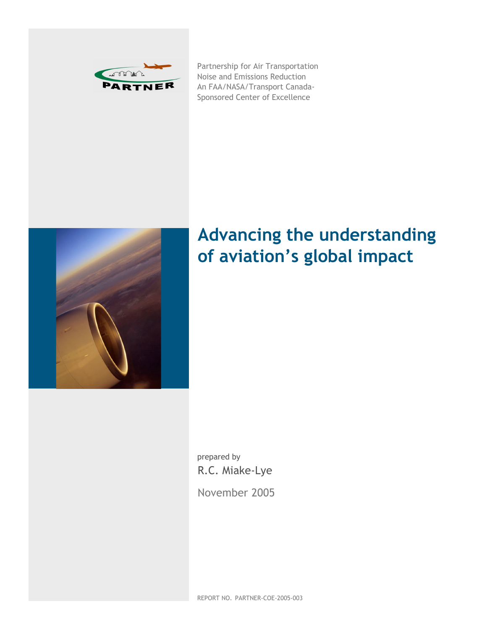

Partnership for Air Transportation Noise and Emissions Reduction An FAA/NASA/Transport Canada-Sponsored Center of Excellence



# **Advancing the understanding of aviation's global impact**

prepared by R.C. Miake-Lye

November 2005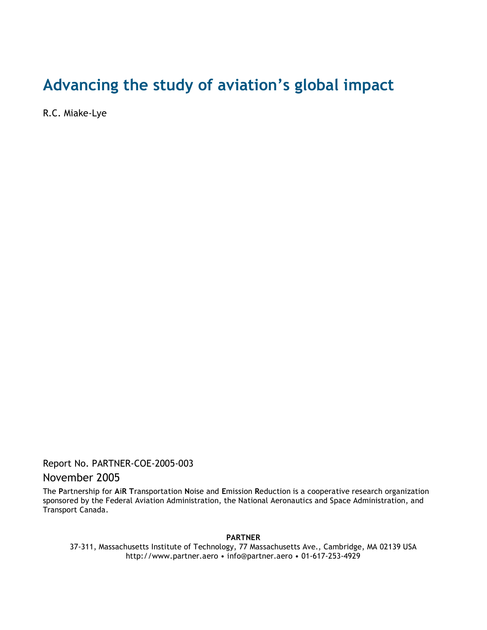## **Advancing the study of aviation's global impact**

R.C. Miake-Lye

Report No. PARTNER-COE-2005-003

## November 2005

The **P**artnership for **A**i**R T**ransportation **N**oise and **E**mission **R**eduction is a cooperative research organization sponsored by the Federal Aviation Administration, the National Aeronautics and Space Administration, and Transport Canada.

**PARTNER**

37-311, Massachusetts Institute of Technology, 77 Massachusetts Ave., Cambridge, MA 02139 USA http://www.partner.aero • info@partner.aero • 01-617-253-4929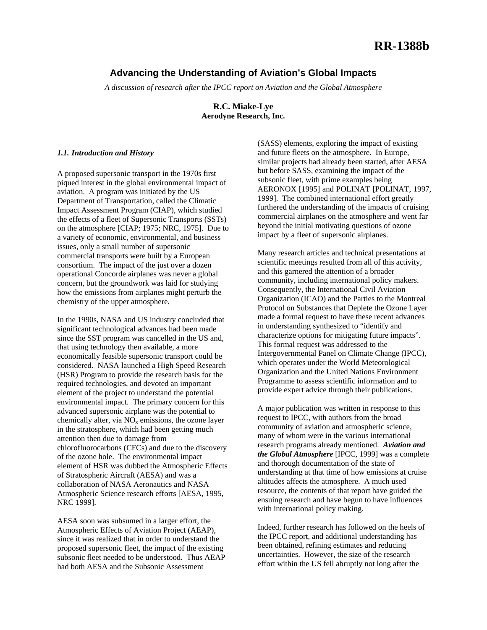## **Advancing the Understanding of Aviation's Global Impacts**

*A discussion of research after the IPCC report on Aviation and the Global Atmosphere*

**R.C. Miake-Lye Aerodyne Research, Inc.** 

#### *1.1. Introduction and History*

A proposed supersonic transport in the 1970s first piqued interest in the global environmental impact of aviation. A program was initiated by the US Department of Transportation, called the Climatic Impact Assessment Program (CIAP), which studied the effects of a fleet of Supersonic Transports (SSTs) on the atmosphere [CIAP; 1975; NRC, 1975]. Due to a variety of economic, environmental, and business issues, only a small number of supersonic commercial transports were built by a European consortium. The impact of the just over a dozen operational Concorde airplanes was never a global concern, but the groundwork was laid for studying how the emissions from airplanes might perturb the chemistry of the upper atmosphere.

In the 1990s, NASA and US industry concluded that significant technological advances had been made since the SST program was cancelled in the US and, that using technology then available, a more economically feasible supersonic transport could be considered. NASA launched a High Speed Research (HSR) Program to provide the research basis for the required technologies, and devoted an important element of the project to understand the potential environmental impact. The primary concern for this advanced supersonic airplane was the potential to chemically alter, via  $NO<sub>x</sub>$  emissions, the ozone layer in the stratosphere, which had been getting much attention then due to damage from chlorofluorocarbons (CFCs) and due to the discovery of the ozone hole. The environmental impact element of HSR was dubbed the Atmospheric Effects of Stratospheric Aircraft (AESA) and was a collaboration of NASA Aeronautics and NASA Atmospheric Science research efforts [AESA, 1995, NRC 1999].

AESA soon was subsumed in a larger effort, the Atmospheric Effects of Aviation Project (AEAP), since it was realized that in order to understand the proposed supersonic fleet, the impact of the existing subsonic fleet needed to be understood. Thus AEAP had both AESA and the Subsonic Assessment

(SASS) elements, exploring the impact of existing and future fleets on the atmosphere. In Europe, similar projects had already been started, after AESA but before SASS, examining the impact of the subsonic fleet, with prime examples being AERONOX [1995] and POLINAT [POLINAT, 1997, 1999]. The combined international effort greatly furthered the understanding of the impacts of cruising commercial airplanes on the atmosphere and went far beyond the initial motivating questions of ozone impact by a fleet of supersonic airplanes.

Many research articles and technical presentations at scientific meetings resulted from all of this activity, and this garnered the attention of a broader community, including international policy makers. Consequently, the International Civil Aviation Organization (ICAO) and the Parties to the Montreal Protocol on Substances that Deplete the Ozone Layer made a formal request to have these recent advances in understanding synthesized to "identify and characterize options for mitigating future impacts". This formal request was addressed to the Intergovernmental Panel on Climate Change (IPCC), which operates under the World Meteorological Organization and the United Nations Environment Programme to assess scientific information and to provide expert advice through their publications.

A major publication was written in response to this request to IPCC, with authors from the broad community of aviation and atmospheric science, many of whom were in the various international research programs already mentioned. *Aviation and the Global Atmosphere* [IPCC, 1999] was a complete and thorough documentation of the state of understanding at that time of how emissions at cruise altitudes affects the atmosphere. A much used resource, the contents of that report have guided the ensuing research and have begun to have influences with international policy making.

Indeed, further research has followed on the heels of the IPCC report, and additional understanding has been obtained, refining estimates and reducing uncertainties. However, the size of the research effort within the US fell abruptly not long after the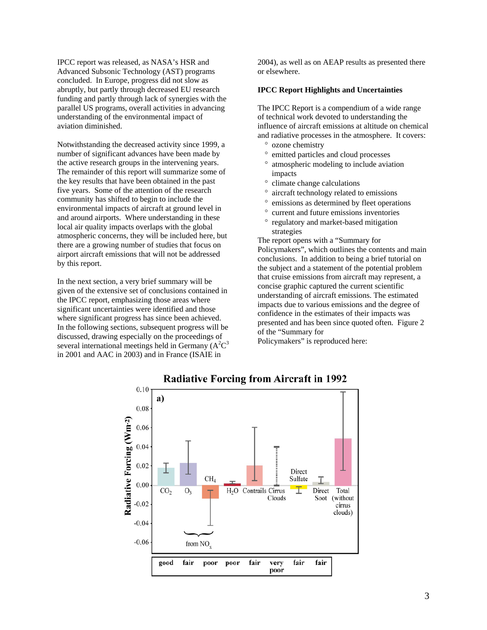IPCC report was released, as NASA's HSR and Advanced Subsonic Technology (AST) programs concluded. In Europe, progress did not slow as abruptly, but partly through decreased EU research funding and partly through lack of synergies with the parallel US programs, overall activities in advancing understanding of the environmental impact of aviation diminished.

Notwithstanding the decreased activity since 1999, a number of significant advances have been made by the active research groups in the intervening years. The remainder of this report will summarize some of the key results that have been obtained in the past five years. Some of the attention of the research community has shifted to begin to include the environmental impacts of aircraft at ground level in and around airports. Where understanding in these local air quality impacts overlaps with the global atmospheric concerns, they will be included here, but there are a growing number of studies that focus on airport aircraft emissions that will not be addressed by this report.

In the next section, a very brief summary will be given of the extensive set of conclusions contained in the IPCC report, emphasizing those areas where significant uncertainties were identified and those where significant progress has since been achieved. In the following sections, subsequent progress will be discussed, drawing especially on the proceedings of several international meetings held in Germany  $(A^2C^3)$ in 2001 and AAC in 2003) and in France (ISAIE in

2004), as well as on AEAP results as presented there or elsewhere.

#### **IPCC Report Highlights and Uncertainties**

The IPCC Report is a compendium of a wide range of technical work devoted to understanding the influence of aircraft emissions at altitude on chemical and radiative processes in the atmosphere. It covers:

- ° ozone chemistry
- emitted particles and cloud processes
- ° atmospheric modeling to include aviation impacts
- climate change calculations
- aircraft technology related to emissions
- ° emissions as determined by fleet operations
- ° current and future emissions inventories
- ° regulatory and market-based mitigation strategies

The report opens with a "Summary for Policymakers", which outlines the contents and main conclusions. In addition to being a brief tutorial on the subject and a statement of the potential problem that cruise emissions from aircraft may represent, a concise graphic captured the current scientific understanding of aircraft emissions. The estimated impacts due to various emissions and the degree of confidence in the estimates of their impacts was presented and has been since quoted often. Figure 2 of the "Summary for

Policymakers" is reproduced here:



## **Radiative Forcing from Aircraft in 1992**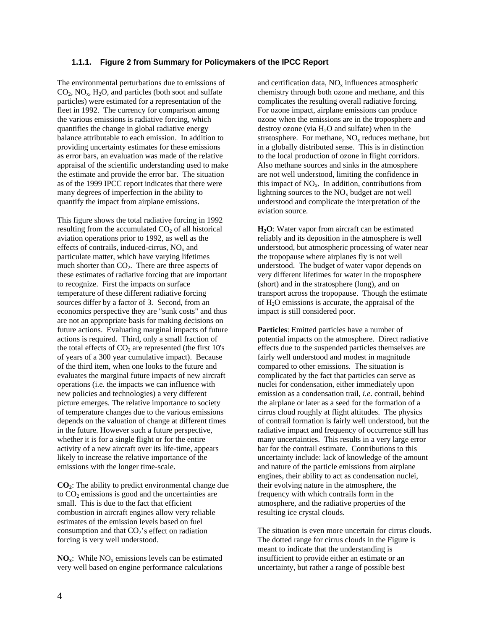## **1.1.1. Figure 2 from Summary for Policymakers of the IPCC Report**

The environmental perturbations due to emissions of  $CO<sub>2</sub>$ ,  $NO<sub>x</sub>$ ,  $H<sub>2</sub>O$ , and particles (both soot and sulfate particles) were estimated for a representation of the fleet in 1992. The currency for comparison among the various emissions is radiative forcing, which quantifies the change in global radiative energy balance attributable to each emission. In addition to providing uncertainty estimates for these emissions as error bars, an evaluation was made of the relative appraisal of the scientific understanding used to make the estimate and provide the error bar. The situation as of the 1999 IPCC report indicates that there were many degrees of imperfection in the ability to quantify the impact from airplane emissions.

This figure shows the total radiative forcing in 1992 resulting from the accumulated  $CO<sub>2</sub>$  of all historical aviation operations prior to 1992, as well as the effects of contrails, induced-cirrus,  $NO<sub>x</sub>$  and particulate matter, which have varying lifetimes much shorter than  $CO<sub>2</sub>$ . There are three aspects of these estimates of radiative forcing that are important to recognize. First the impacts on surface temperature of these different radiative forcing sources differ by a factor of 3. Second, from an economics perspective they are "sunk costs" and thus are not an appropriate basis for making decisions on future actions. Evaluating marginal impacts of future actions is required. Third, only a small fraction of the total effects of  $CO<sub>2</sub>$  are represented (the first 10's of years of a 300 year cumulative impact). Because of the third item, when one looks to the future and evaluates the marginal future impacts of new aircraft operations (i.e. the impacts we can influence with new policies and technologies) a very different picture emerges. The relative importance to society of temperature changes due to the various emissions depends on the valuation of change at different times in the future. However such a future perspective, whether it is for a single flight or for the entire activity of a new aircraft over its life-time, appears likely to increase the relative importance of the emissions with the longer time-scale.

**CO2**: The ability to predict environmental change due to  $CO<sub>2</sub>$  emissions is good and the uncertainties are small. This is due to the fact that efficient combustion in aircraft engines allow very reliable estimates of the emission levels based on fuel consumption and that  $CO<sub>2</sub>$ 's effect on radiation forcing is very well understood.

**NO<sub>x</sub>**: While  $NO_x$  emissions levels can be estimated very well based on engine performance calculations

and certification data,  $NO<sub>x</sub>$  influences atmospheric chemistry through both ozone and methane, and this complicates the resulting overall radiative forcing. For ozone impact, airplane emissions can produce ozone when the emissions are in the troposphere and destroy ozone (via  $H_2O$  and sulfate) when in the stratosphere. For methane,  $NO<sub>x</sub>$  reduces methane, but in a globally distributed sense. This is in distinction to the local production of ozone in flight corridors. Also methane sources and sinks in the atmosphere are not well understood, limiting the confidence in this impact of  $NO<sub>x</sub>$ . In addition, contributions from lightning sources to the  $NO<sub>x</sub>$  budget are not well understood and complicate the interpretation of the aviation source.

**H<sub>2</sub>O**: Water vapor from aircraft can be estimated reliably and its deposition in the atmosphere is well understood, but atmospheric processing of water near the tropopause where airplanes fly is not well understood. The budget of water vapor depends on very different lifetimes for water in the troposphere (short) and in the stratosphere (long), and on transport across the tropopause. Though the estimate of  $H_2O$  emissions is accurate, the appraisal of the impact is still considered poor.

**Particles**: Emitted particles have a number of potential impacts on the atmosphere. Direct radiative effects due to the suspended particles themselves are fairly well understood and modest in magnitude compared to other emissions. The situation is complicated by the fact that particles can serve as nuclei for condensation, either immediately upon emission as a condensation trail, *i.e*. contrail, behind the airplane or later as a seed for the formation of a cirrus cloud roughly at flight altitudes. The physics of contrail formation is fairly well understood, but the radiative impact and frequency of occurrence still has many uncertainties. This results in a very large error bar for the contrail estimate. Contributions to this uncertainty include: lack of knowledge of the amount and nature of the particle emissions from airplane engines, their ability to act as condensation nuclei, their evolving nature in the atmosphere, the frequency with which contrails form in the atmosphere, and the radiative properties of the resulting ice crystal clouds.

The situation is even more uncertain for cirrus clouds. The dotted range for cirrus clouds in the Figure is meant to indicate that the understanding is insufficient to provide either an estimate or an uncertainty, but rather a range of possible best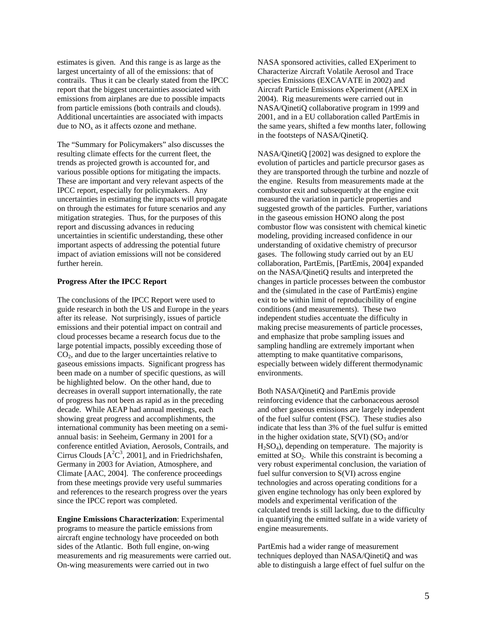estimates is given. And this range is as large as the largest uncertainty of all of the emissions: that of contrails. Thus it can be clearly stated from the IPCC report that the biggest uncertainties associated with emissions from airplanes are due to possible impacts from particle emissions (both contrails and clouds). Additional uncertainties are associated with impacts due to  $NO<sub>x</sub>$  as it affects ozone and methane.

The "Summary for Policymakers" also discusses the resulting climate effects for the current fleet, the trends as projected growth is accounted for, and various possible options for mitigating the impacts. These are important and very relevant aspects of the IPCC report, especially for policymakers. Any uncertainties in estimating the impacts will propagate on through the estimates for future scenarios and any mitigation strategies. Thus, for the purposes of this report and discussing advances in reducing uncertainties in scientific understanding, these other important aspects of addressing the potential future impact of aviation emissions will not be considered further herein.

#### **Progress After the IPCC Report**

The conclusions of the IPCC Report were used to guide research in both the US and Europe in the years after its release. Not surprisingly, issues of particle emissions and their potential impact on contrail and cloud processes became a research focus due to the large potential impacts, possibly exceeding those of  $CO<sub>2</sub>$ , and due to the larger uncertainties relative to gaseous emissions impacts. Significant progress has been made on a number of specific questions, as will be highlighted below. On the other hand, due to decreases in overall support internationally, the rate of progress has not been as rapid as in the preceding decade. While AEAP had annual meetings, each showing great progress and accomplishments, the international community has been meeting on a semiannual basis: in Seeheim, Germany in 2001 for a conference entitled Aviation, Aerosols, Contrails, and Cirrus Clouds  $[A<sup>2</sup>C<sup>3</sup>, 2001]$ , and in Friedrichshafen, Germany in 2003 for Aviation, Atmosphere, and Climate [AAC, 2004]. The conference proceedings from these meetings provide very useful summaries and references to the research progress over the years since the IPCC report was completed.

**Engine Emissions Characterization**: Experimental programs to measure the particle emissions from aircraft engine technology have proceeded on both sides of the Atlantic. Both full engine, on-wing measurements and rig measurements were carried out. On-wing measurements were carried out in two

NASA sponsored activities, called EXperiment to Characterize Aircraft Volatile Aerosol and Trace species Emissions (EXCAVATE in 2002) and Aircraft Particle Emissions eXperiment (APEX in 2004). Rig measurements were carried out in NASA/QinetiQ collaborative program in 1999 and 2001, and in a EU collaboration called PartEmis in the same years, shifted a few months later, following in the footsteps of NASA/QinetiQ.

NASA/QinetiQ [2002] was designed to explore the evolution of particles and particle precursor gases as they are transported through the turbine and nozzle of the engine. Results from measurements made at the combustor exit and subsequently at the engine exit measured the variation in particle properties and suggested growth of the particles. Further, variations in the gaseous emission HONO along the post combustor flow was consistent with chemical kinetic modeling, providing increased confidence in our understanding of oxidative chemistry of precursor gases. The following study carried out by an EU collaboration, PartEmis, [PartEmis, 2004] expanded on the NASA/QinetiQ results and interpreted the changes in particle processes between the combustor and the (simulated in the case of PartEmis) engine exit to be within limit of reproducibility of engine conditions (and measurements). These two independent studies accentuate the difficulty in making precise measurements of particle processes, and emphasize that probe sampling issues and sampling handling are extremely important when attempting to make quantitative comparisons, especially between widely different thermodynamic environments.

Both NASA/QinetiQ and PartEmis provide reinforcing evidence that the carbonaceous aerosol and other gaseous emissions are largely independent of the fuel sulfur content (FSC). These studies also indicate that less than 3% of the fuel sulfur is emitted in the higher oxidation state,  $S(VI)$  ( $SO<sub>3</sub>$  and/or  $H<sub>2</sub>SO<sub>4</sub>$ ), depending on temperature. The majority is emitted at  $SO_2$ . While this constraint is becoming a very robust experimental conclusion, the variation of fuel sulfur conversion to S(VI) across engine technologies and across operating conditions for a given engine technology has only been explored by models and experimental verification of the calculated trends is still lacking, due to the difficulty in quantifying the emitted sulfate in a wide variety of engine measurements.

PartEmis had a wider range of measurement techniques deployed than NASA/QinetiQ and was able to distinguish a large effect of fuel sulfur on the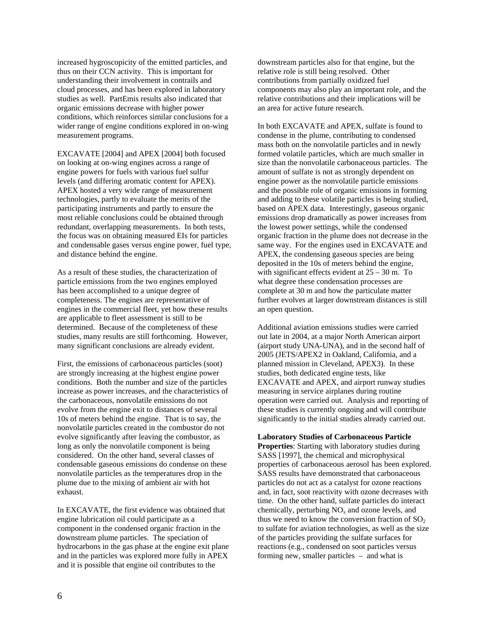increased hygroscopicity of the emitted particles, and thus on their CCN activity. This is important for understanding their involvement in contrails and cloud processes, and has been explored in laboratory studies as well. PartEmis results also indicated that organic emissions decrease with higher power conditions, which reinforces similar conclusions for a wider range of engine conditions explored in on-wing measurement programs.

EXCAVATE [2004] and APEX [2004] both focused on looking at on-wing engines across a range of engine powers for fuels with various fuel sulfur levels (and differing aromatic content for APEX). APEX hosted a very wide range of measurement technologies, partly to evaluate the merits of the participating instruments and partly to ensure the most reliable conclusions could be obtained through redundant, overlapping measurements. In both tests, the focus was on obtaining measured EIs for particles and condensable gases versus engine power, fuel type, and distance behind the engine.

As a result of these studies, the characterization of particle emissions from the two engines employed has been accomplished to a unique degree of completeness. The engines are representative of engines in the commercial fleet, yet how these results are applicable to fleet assessment is still to be determined. Because of the completeness of these studies, many results are still forthcoming. However, many significant conclusions are already evident.

First, the emissions of carbonaceous particles (soot) are strongly increasing at the highest engine power conditions. Both the number and size of the particles increase as power increases, and the characteristics of the carbonaceous, nonvolatile emissions do not evolve from the engine exit to distances of several 10s of meters behind the engine. That is to say, the nonvolatile particles created in the combustor do not evolve significantly after leaving the combustor, as long as only the nonvolatile component is being considered. On the other hand, several classes of condensable gaseous emissions do condense on these nonvolatile particles as the temperatures drop in the plume due to the mixing of ambient air with hot exhaust.

In EXCAVATE, the first evidence was obtained that engine lubrication oil could participate as a component in the condensed organic fraction in the downstream plume particles. The speciation of hydrocarbons in the gas phase at the engine exit plane and in the particles was explored more fully in APEX and it is possible that engine oil contributes to the

downstream particles also for that engine, but the relative role is still being resolved. Other contributions from partially oxidized fuel components may also play an important role, and the relative contributions and their implications will be an area for active future research.

In both EXCAVATE and APEX, sulfate is found to condense in the plume, contributing to condensed mass both on the nonvolatile particles and in newly formed volatile particles, which are much smaller in size than the nonvolatile carbonaceous particles. The amount of sulfate is not as strongly dependent on engine power as the nonvolatile particle emissions and the possible role of organic emissions in forming and adding to these volatile particles is being studied, based on APEX data. Interestingly, gaseous organic emissions drop dramatically as power increases from the lowest power settings, while the condensed organic fraction in the plume does not decrease in the same way. For the engines used in EXCAVATE and APEX, the condensing gaseous species are being deposited in the 10s of meters behind the engine, with significant effects evident at  $25 - 30$  m. To what degree these condensation processes are complete at 30 m and how the particulate matter further evolves at larger downstream distances is still an open question.

Additional aviation emissions studies were carried out late in 2004, at a major North American airport (airport study UNA-UNA), and in the second half of 2005 (JETS/APEX2 in Oakland, California, and a planned mission in Cleveland, APEX3). In these studies, both dedicated engine tests, like EXCAVATE and APEX, and airport runway studies measuring in service airplanes during routine operation were carried out. Analysis and reporting of these studies is currently ongoing and will contribute significantly to the initial studies already carried out.

**Laboratory Studies of Carbonaceous Particle Properties**: Starting with laboratory studies during SASS [1997], the chemical and microphysical properties of carbonaceous aerosol has been explored. SASS results have demonstrated that carbonaceous particles do not act as a catalyst for ozone reactions and, in fact, soot reactivity with ozone decreases with time. On the other hand, sulfate particles do interact chemically, perturbing  $NO<sub>x</sub>$  and ozone levels, and thus we need to know the conversion fraction of  $SO_2$ to sulfate for aviation technologies, as well as the size of the particles providing the sulfate surfaces for reactions (e.g., condensed on soot particles versus forming new, smaller particles – and what is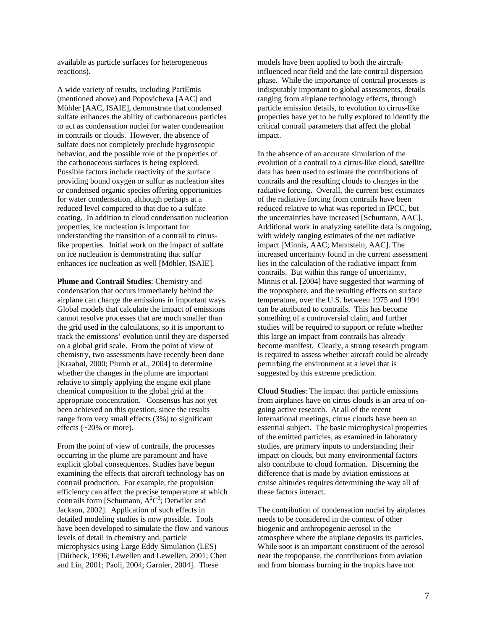available as particle surfaces for heterogeneous reactions).

A wide variety of results, including PartEmis (mentioned above) and Popovicheva [AAC] and Möhler [AAC, ISAIE], demonstrate that condensed sulfate enhances the ability of carbonaceous particles to act as condensation nuclei for water condensation in contrails or clouds. However, the absence of sulfate does not completely preclude hygroscopic behavior, and the possible role of the properties of the carbonaceous surfaces is being explored. Possible factors include reactivity of the surface providing bound oxygen or sulfur as nucleation sites or condensed organic species offering opportunities for water condensation, although perhaps at a reduced level compared to that due to a sulfate coating. In addition to cloud condensation nucleation properties, ice nucleation is important for understanding the transition of a contrail to cirruslike properties. Initial work on the impact of sulfate on ice nucleation is demonstrating that sulfur enhances ice nucleation as well [Möhler, ISAIE].

**Plume and Contrail Studies**: Chemistry and condensation that occurs immediately behind the airplane can change the emissions in important ways. Global models that calculate the impact of emissions cannot resolve processes that are much smaller than the grid used in the calculations, so it is important to track the emissions' evolution until they are dispersed on a global grid scale. From the point of view of chemistry, two assessments have recently been done [Kraabøl, 2000; Plumb et al., 2004] to determine whether the changes in the plume are important relative to simply applying the engine exit plane chemical composition to the global grid at the appropriate concentration. Consensus has not yet been achieved on this question, since the results range from very small effects (3%) to significant effects (~20% or more).

From the point of view of contrails, the processes occurring in the plume are paramount and have explicit global consequences. Studies have begun examining the effects that aircraft technology has on contrail production. For example, the propulsion efficiency can affect the precise temperature at which contrails form [Schumann,  $A^2C^3$ ; Detwiler and Jackson, 2002]. Application of such effects in detailed modeling studies is now possible. Tools have been developed to simulate the flow and various levels of detail in chemistry and, particle microphysics using Large Eddy Simulation (LES) [Dürbeck, 1996; Lewellen and Lewellen, 2001; Chen and Lin, 2001; Paoli, 2004; Garnier, 2004]. These

models have been applied to both the aircraftinfluenced near field and the late contrail dispersion phase. While the importance of contrail processes is indisputably important to global assessments, details ranging from airplane technology effects, through particle emission details, to evolution to cirrus-like properties have yet to be fully explored to identify the critical contrail parameters that affect the global impact.

In the absence of an accurate simulation of the evolution of a contrail to a cirrus-like cloud, satellite data has been used to estimate the contributions of contrails and the resulting clouds to changes in the radiative forcing. Overall, the current best estimates of the radiative forcing from contrails have been reduced relative to what was reported in IPCC, but the uncertainties have increased [Schumann, AAC]. Additional work in analyzing satellite data is ongoing, with widely ranging estimates of the net radiative impact [Minnis, AAC; Mannstein, AAC]. The increased uncertainty found in the current assessment lies in the calculation of the radiative impact from contrails. But within this range of uncertainty, Minnis et al. [2004] have suggested that warming of the troposphere, and the resulting effects on surface temperature, over the U.S. between 1975 and 1994 can be attributed to contrails. This has become something of a controversial claim, and further studies will be required to support or refute whether this large an impact from contrails has already become manifest. Clearly, a strong research program is required to assess whether aircraft could be already perturbing the environment at a level that is suggested by this extreme prediction.

**Cloud Studies**: The impact that particle emissions from airplanes have on cirrus clouds is an area of ongoing active research. At all of the recent international meetings, cirrus clouds have been an essential subject. The basic microphysical properties of the emitted particles, as examined in laboratory studies, are primary inputs to understanding their impact on clouds, but many environmental factors also contribute to cloud formation. Discerning the difference that is made by aviation emissions at cruise altitudes requires determining the way all of these factors interact.

The contribution of condensation nuclei by airplanes needs to be considered in the context of other biogenic and anthropogenic aerosol in the atmosphere where the airplane deposits its particles. While soot is an important constituent of the aerosol near the tropopause, the contributions from aviation and from biomass burning in the tropics have not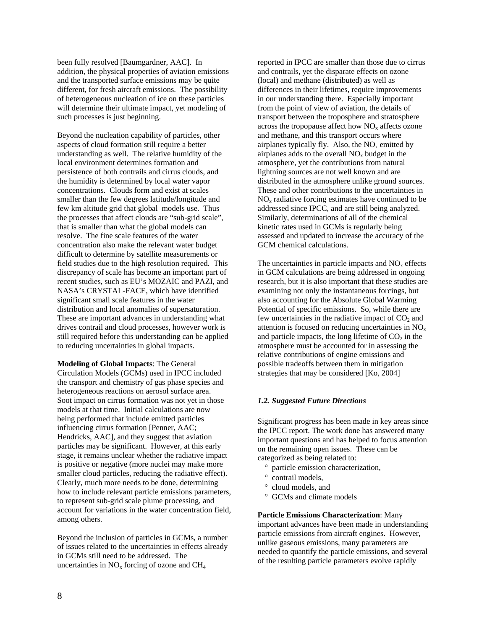been fully resolved [Baumgardner, AAC]. In addition, the physical properties of aviation emissions and the transported surface emissions may be quite different, for fresh aircraft emissions. The possibility of heterogeneous nucleation of ice on these particles will determine their ultimate impact, yet modeling of such processes is just beginning.

Beyond the nucleation capability of particles, other aspects of cloud formation still require a better understanding as well. The relative humidity of the local environment determines formation and persistence of both contrails and cirrus clouds, and the humidity is determined by local water vapor concentrations. Clouds form and exist at scales smaller than the few degrees latitude/longitude and few km altitude grid that global models use. Thus the processes that affect clouds are "sub-grid scale", that is smaller than what the global models can resolve. The fine scale features of the water concentration also make the relevant water budget difficult to determine by satellite measurements or field studies due to the high resolution required. This discrepancy of scale has become an important part of recent studies, such as EU's MOZAIC and PAZI, and NASA's CRYSTAL-FACE, which have identified significant small scale features in the water distribution and local anomalies of supersaturation. These are important advances in understanding what drives contrail and cloud processes, however work is still required before this understanding can be applied to reducing uncertainties in global impacts.

**Modeling of Global Impacts**: The General Circulation Models (GCMs) used in IPCC included the transport and chemistry of gas phase species and heterogeneous reactions on aerosol surface area. Soot impact on cirrus formation was not yet in those models at that time. Initial calculations are now being performed that include emitted particles influencing cirrus formation [Penner, AAC; Hendricks, AAC], and they suggest that aviation particles may be significant. However, at this early stage, it remains unclear whether the radiative impact is positive or negative (more nuclei may make more smaller cloud particles, reducing the radiative effect). Clearly, much more needs to be done, determining how to include relevant particle emissions parameters, to represent sub-grid scale plume processing, and account for variations in the water concentration field, among others.

Beyond the inclusion of particles in GCMs, a number of issues related to the uncertainties in effects already in GCMs still need to be addressed. The uncertainties in  $NO<sub>x</sub>$  forcing of ozone and  $CH<sub>4</sub>$ 

reported in IPCC are smaller than those due to cirrus and contrails, yet the disparate effects on ozone (local) and methane (distributed) as well as differences in their lifetimes, require improvements in our understanding there. Especially important from the point of view of aviation, the details of transport between the troposphere and stratosphere across the tropopause affect how  $NO<sub>x</sub>$  affects ozone and methane, and this transport occurs where airplanes typically fly. Also, the  $NO<sub>x</sub>$  emitted by airplanes adds to the overall  $NO<sub>x</sub>$  budget in the atmosphere, yet the contributions from natural lightning sources are not well known and are distributed in the atmosphere unlike ground sources. These and other contributions to the uncertainties in  $NO<sub>x</sub>$  radiative forcing estimates have continued to be addressed since IPCC, and are still being analyzed. Similarly, determinations of all of the chemical kinetic rates used in GCMs is regularly being assessed and updated to increase the accuracy of the GCM chemical calculations.

The uncertainties in particle impacts and  $NO<sub>x</sub>$  effects in GCM calculations are being addressed in ongoing research, but it is also important that these studies are examining not only the instantaneous forcings, but also accounting for the Absolute Global Warming Potential of specific emissions. So, while there are few uncertainties in the radiative impact of  $CO<sub>2</sub>$  and attention is focused on reducing uncertainties in  $NO<sub>x</sub>$ and particle impacts, the long lifetime of  $CO<sub>2</sub>$  in the atmosphere must be accounted for in assessing the relative contributions of engine emissions and possible tradeoffs between them in mitigation strategies that may be considered [Ko, 2004]

## *1.2. Suggested Future Directions*

Significant progress has been made in key areas since the IPCC report. The work done has answered many important questions and has helped to focus attention on the remaining open issues. These can be categorized as being related to:

- ° particle emission characterization,
- ° contrail models,
- ° cloud models, and
- ° GCMs and climate models

**Particle Emissions Characterization**: Many important advances have been made in understanding particle emissions from aircraft engines. However, unlike gaseous emissions, many parameters are needed to quantify the particle emissions, and several of the resulting particle parameters evolve rapidly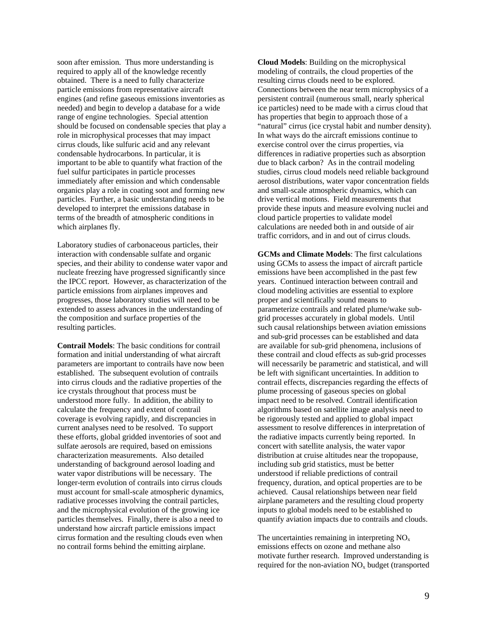soon after emission. Thus more understanding is required to apply all of the knowledge recently obtained. There is a need to fully characterize particle emissions from representative aircraft engines (and refine gaseous emissions inventories as needed) and begin to develop a database for a wide range of engine technologies. Special attention should be focused on condensable species that play a role in microphysical processes that may impact cirrus clouds, like sulfuric acid and any relevant condensable hydrocarbons. In particular, it is important to be able to quantify what fraction of the fuel sulfur participates in particle processes immediately after emission and which condensable organics play a role in coating soot and forming new particles. Further, a basic understanding needs to be developed to interpret the emissions database in terms of the breadth of atmospheric conditions in which airplanes fly.

Laboratory studies of carbonaceous particles, their interaction with condensable sulfate and organic species, and their ability to condense water vapor and nucleate freezing have progressed significantly since the IPCC report. However, as characterization of the particle emissions from airplanes improves and progresses, those laboratory studies will need to be extended to assess advances in the understanding of the composition and surface properties of the resulting particles.

**Contrail Models**: The basic conditions for contrail formation and initial understanding of what aircraft parameters are important to contrails have now been established. The subsequent evolution of contrails into cirrus clouds and the radiative properties of the ice crystals throughout that process must be understood more fully. In addition, the ability to calculate the frequency and extent of contrail coverage is evolving rapidly, and discrepancies in current analyses need to be resolved. To support these efforts, global gridded inventories of soot and sulfate aerosols are required, based on emissions characterization measurements. Also detailed understanding of background aerosol loading and water vapor distributions will be necessary. The longer-term evolution of contrails into cirrus clouds must account for small-scale atmospheric dynamics, radiative processes involving the contrail particles, and the microphysical evolution of the growing ice particles themselves. Finally, there is also a need to understand how aircraft particle emissions impact cirrus formation and the resulting clouds even when no contrail forms behind the emitting airplane.

**Cloud Models**: Building on the microphysical modeling of contrails, the cloud properties of the resulting cirrus clouds need to be explored. Connections between the near term microphysics of a persistent contrail (numerous small, nearly spherical ice particles) need to be made with a cirrus cloud that has properties that begin to approach those of a "natural" cirrus (ice crystal habit and number density). In what ways do the aircraft emissions continue to exercise control over the cirrus properties, via differences in radiative properties such as absorption due to black carbon? As in the contrail modeling studies, cirrus cloud models need reliable background aerosol distributions, water vapor concentration fields and small-scale atmospheric dynamics, which can drive vertical motions. Field measurements that provide these inputs and measure evolving nuclei and cloud particle properties to validate model calculations are needed both in and outside of air traffic corridors, and in and out of cirrus clouds.

**GCMs and Climate Models**: The first calculations using GCMs to assess the impact of aircraft particle emissions have been accomplished in the past few years. Continued interaction between contrail and cloud modeling activities are essential to explore proper and scientifically sound means to parameterize contrails and related plume/wake subgrid processes accurately in global models. Until such causal relationships between aviation emissions and sub-grid processes can be established and data are available for sub-grid phenomena, inclusions of these contrail and cloud effects as sub-grid processes will necessarily be parametric and statistical, and will be left with significant uncertainties. In addition to contrail effects, discrepancies regarding the effects of plume processing of gaseous species on global impact need to be resolved. Contrail identification algorithms based on satellite image analysis need to be rigorously tested and applied to global impact assessment to resolve differences in interpretation of the radiative impacts currently being reported. In concert with satellite analysis, the water vapor distribution at cruise altitudes near the tropopause, including sub grid statistics, must be better understood if reliable predictions of contrail frequency, duration, and optical properties are to be achieved. Causal relationships between near field airplane parameters and the resulting cloud property inputs to global models need to be established to quantify aviation impacts due to contrails and clouds.

The uncertainties remaining in interpreting  $NO<sub>x</sub>$ emissions effects on ozone and methane also motivate further research. Improved understanding is required for the non-aviation  $NO<sub>x</sub>$  budget (transported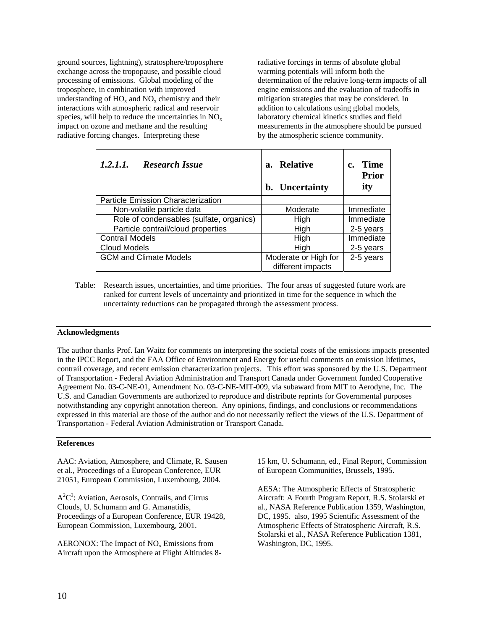ground sources, lightning), stratosphere/troposphere exchange across the tropopause, and possible cloud processing of emissions. Global modeling of the troposphere, in combination with improved understanding of  $HO_x$  and  $NO_x$  chemistry and their interactions with atmospheric radical and reservoir species, will help to reduce the uncertainties in  $NO<sub>x</sub>$ impact on ozone and methane and the resulting radiative forcing changes. Interpreting these

radiative forcings in terms of absolute global warming potentials will inform both the determination of the relative long-term impacts of all engine emissions and the evaluation of tradeoffs in mitigation strategies that may be considered. In addition to calculations using global models, laboratory chemical kinetics studies and field measurements in the atmosphere should be pursued by the atmospheric science community.

| 1.2.1.1.<br><b>Research Issue</b>        | <b>Relative</b><br>а.<br>b. Uncertainty   | <b>Time</b><br><b>Prior</b><br>ity |
|------------------------------------------|-------------------------------------------|------------------------------------|
| Particle Emission Characterization       |                                           |                                    |
| Non-volatile particle data               | Moderate                                  | Immediate                          |
| Role of condensables (sulfate, organics) | High                                      | Immediate                          |
| Particle contrail/cloud properties       | High                                      | 2-5 years                          |
| <b>Contrail Models</b>                   | High                                      | Immediate                          |
| Cloud Models                             | High                                      | 2-5 years                          |
| <b>GCM and Climate Models</b>            | Moderate or High for<br>different impacts | 2-5 years                          |

Table: Research issues, uncertainties, and time priorities. The four areas of suggested future work are ranked for current levels of uncertainty and prioritized in time for the sequence in which the uncertainty reductions can be propagated through the assessment process.

## **Acknowledgments**

The author thanks Prof. Ian Waitz for comments on interpreting the societal costs of the emissions impacts presented in the IPCC Report, and the FAA Office of Environment and Energy for useful comments on emission lifetimes, contrail coverage, and recent emission characterization projects. This effort was sponsored by the U.S. Department of Transportation - Federal Aviation Administration and Transport Canada under Government funded Cooperative Agreement No. 03-C-NE-01, Amendment No. 03-C-NE-MIT-009, via subaward from MIT to Aerodyne, Inc. The U.S. and Canadian Governments are authorized to reproduce and distribute reprints for Governmental purposes notwithstanding any copyright annotation thereon. Any opinions, findings, and conclusions or recommendations expressed in this material are those of the author and do not necessarily reflect the views of the U.S. Department of Transportation - Federal Aviation Administration or Transport Canada.

### **References**

AAC: Aviation, Atmosphere, and Climate, R. Sausen et al., Proceedings of a European Conference, EUR 21051, European Commission, Luxembourg, 2004.

 $A<sup>2</sup>C<sup>3</sup>$ : Aviation, Aerosols, Contrails, and Cirrus Clouds, U. Schumann and G. Amanatidis, Proceedings of a European Conference, EUR 19428, European Commission, Luxembourg, 2001.

AERONOX: The Impact of  $NO<sub>x</sub>$  Emissions from Aircraft upon the Atmosphere at Flight Altitudes 815 km, U. Schumann, ed., Final Report, Commission of European Communities, Brussels, 1995.

AESA: The Atmospheric Effects of Stratospheric Aircraft: A Fourth Program Report, R.S. Stolarski et al., NASA Reference Publication 1359, Washington, DC, 1995. also, 1995 Scientific Assessment of the Atmospheric Effects of Stratospheric Aircraft, R.S. Stolarski et al., NASA Reference Publication 1381, Washington, DC, 1995.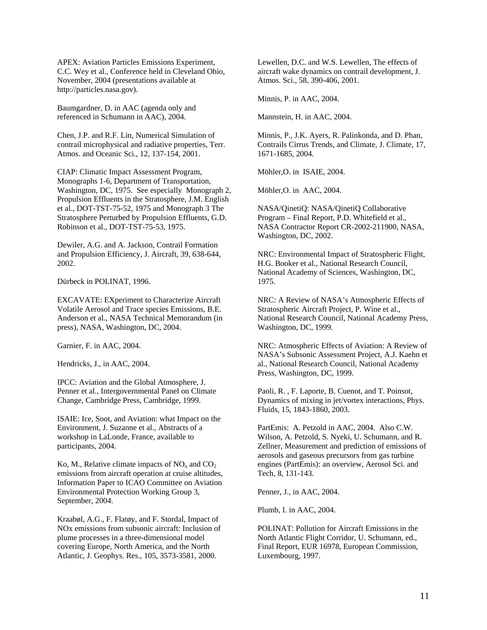APEX: Aviation Particles Emissions Experiment, C.C. Wey et al., Conference held in Cleveland Ohio, November, 2004 (presentations available at http://particles.nasa.gov).

Baumgardner, D. in AAC (agenda only and referenced in Schumann in AAC), 2004.

Chen, J.P. and R.F. Lin, Numerical Simulation of contrail microphysical and radiative properties, Terr. Atmos. and Oceanic Sci., 12, 137-154, 2001.

CIAP: Climatic Impact Assessment Program, Monographs 1-6, Department of Transportation, Washington, DC, 1975. See especially Monograph 2, Propulsion Effluents in the Stratosphere, J.M. English et al., DOT-TST-75-52, 1975 and Monograph 3 The Stratosphere Perturbed by Propulsion Effluents, G.D. Robinson et al., DOT-TST-75-53, 1975.

Dewiler, A.G. and A. Jackson, Contrail Formation and Propulsion Efficiency, J. Aircraft, 39, 638-644, 2002.

Dürbeck in POLINAT, 1996.

EXCAVATE: EXperiment to Characterize Aircraft Volatile Aerosol and Trace species Emissions, B.E. Anderson et al., NASA Technical Memorandum (in press), NASA, Washington, DC, 2004.

Garnier, F. in AAC, 2004.

Hendricks, J., in AAC, 2004.

IPCC: Aviation and the Global Atmosphere, J. Penner et al., Intergovernmental Panel on Climate Change, Cambridge Press, Cambridge, 1999.

ISAIE: Ice, Soot, and Aviation: what Impact on the Environment, J. Suzanne et al., Abstracts of a workshop in LaLonde, France, available to participants, 2004.

Ko, M., Relative climate impacts of  $NO<sub>x</sub>$  and  $CO<sub>2</sub>$ . emissions from aircraft operation at cruise altitudes, Information Paper to ICAO Committee on Aviation Environmental Protection Working Group 3, September, 2004.

Kraabøl, A.G., F. Flatøy, and F. Stordal, Impact of NOx emissions from subsonic aircraft: Inclusion of plume processes in a three-dimensional model covering Europe, North America, and the North Atlantic, J. Geophys. Res., 105, 3573-3581, 2000.

Lewellen, D.C. and W.S. Lewellen, The effects of aircraft wake dynamics on contrail development, J. Atmos. Sci., 58, 390-406, 2001.

Minnis, P. in AAC, 2004.

Mannstein, H. in AAC, 2004.

Minnis, P., J.K. Ayers, R. Palinkonda, and D. Phan, Contrails Cirrus Trends, and Climate, J. Climate, 17, 1671-1685, 2004.

Möhler,O. in ISAIE, 2004.

Möhler,O. in AAC, 2004.

NASA/QinetiQ: NASA/QinetiQ Collaborative Program – Final Report, P.D. Whitefield et al., NASA Contractor Report CR-2002-211900, NASA, Washington, DC, 2002.

NRC: Environmental Impact of Stratospheric Flight, H.G. Booker et al., National Research Council, National Academy of Sciences, Washington, DC, 1975.

NRC: A Review of NASA's Atmospheric Effects of Stratospheric Aircraft Project, P. Wine et al., National Research Council, National Academy Press, Washington, DC, 1999.

NRC: Atmospheric Effects of Aviation: A Review of NASA's Subsonic Assessment Project, A.J. Kaehn et al., National Research Council, National Academy Press, Washington, DC, 1999.

Paoli, R. , F. Laporte, B. Cuenot, and T. Poinsot, Dynamics of mixing in jet/vortex interactions, Phys. Fluids, 15, 1843-1860, 2003.

PartEmis: A. Petzold in AAC, 2004. Also C.W. Wilson, A. Petzold, S. Nyeki, U. Schumann, and R. Zellner, Measurement and prediction of emissions of aerosols and gaseous precursors from gas turbine engines (PartEmis): an overview, Aerosol Sci. and Tech, 8, 131-143.

Penner, J., in AAC, 2004.

Plumb, I. in AAC, 2004.

POLINAT: Pollution for Aircraft Emissions in the North Atlantic Flight Corridor, U. Schumann, ed., Final Report, EUR 16978, European Commission, Luxembourg, 1997.